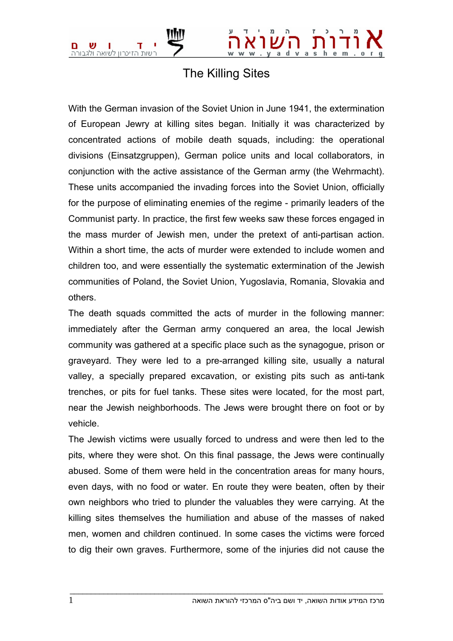

## The Killing Sites

With the German invasion of the Soviet Union in June 1941, the extermination of European Jewry at killing sites began. Initially it was characterized by concentrated actions of mobile death squads, including: the operational divisions (Einsatzgruppen), German police units and local collaborators, in conjunction with the active assistance of the German army (the Wehrmacht). These units accompanied the invading forces into the Soviet Union, officially for the purpose of eliminating enemies of the regime - primarily leaders of the Communist party. In practice, the first few weeks saw these forces engaged in the mass murder of Jewish men, under the pretext of anti-partisan action. Within a short time, the acts of murder were extended to include women and children too, and were essentially the systematic extermination of the Jewish communities of Poland, the Soviet Union, Yugoslavia, Romania, Slovakia and others.

The death squads committed the acts of murder in the following manner: immediately after the German army conquered an area, the local Jewish community was gathered at a specific place such as the synagogue, prison or graveyard. They were led to a pre-arranged killing site, usually a natural valley, a specially prepared excavation, or existing pits such as anti-tank trenches, or pits for fuel tanks. These sites were located, for the most part, near the Jewish neighborhoods. The Jews were brought there on foot or by vehicle.

The Jewish victims were usually forced to undress and were then led to the pits, where they were shot. On this final passage, the Jews were continually abused. Some of them were held in the concentration areas for many hours, even days, with no food or water. En route they were beaten, often by their own neighbors who tried to plunder the valuables they were carrying. At the killing sites themselves the humiliation and abuse of the masses of naked men, women and children continued. In some cases the victims were forced to dig their own graves. Furthermore, some of the injuries did not cause the

 $\bot$  , and the set of the set of the set of the set of the set of the set of the set of the set of the set of the set of the set of the set of the set of the set of the set of the set of the set of the set of the set of t